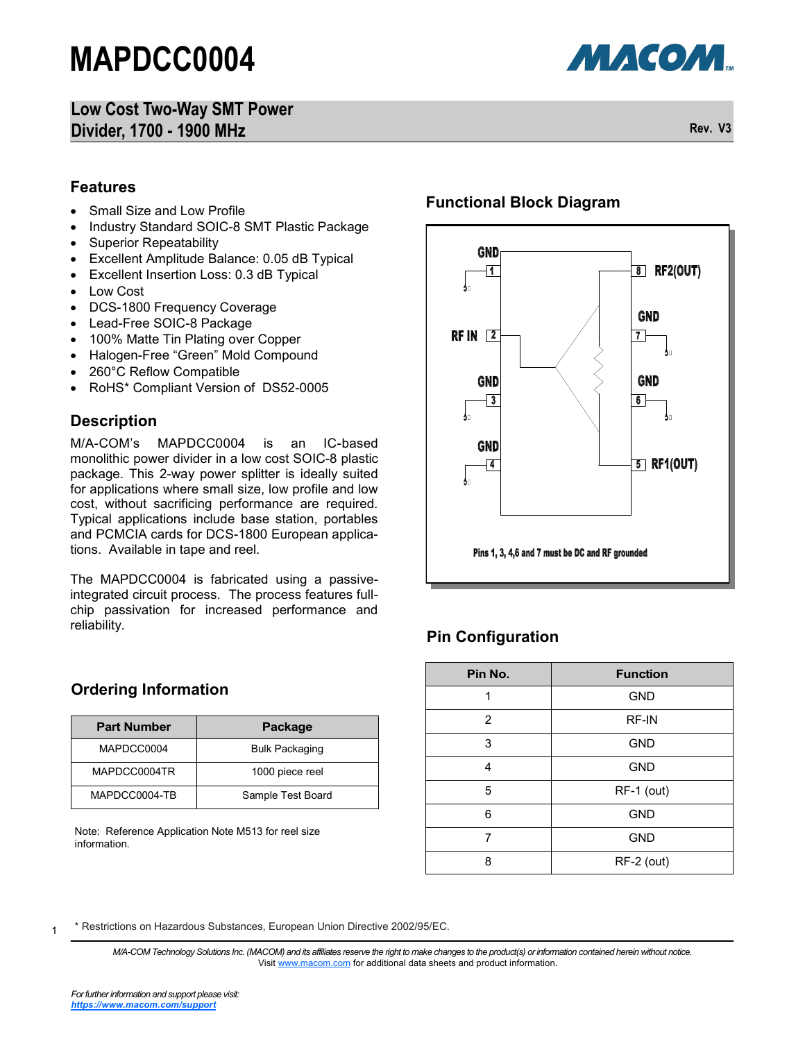### **Low Cost Two-Way SMT Power Divider, 1700 - 1900 MHz Rev. V3**



**МАСОМ.** 

#### **Features**

- Small Size and Low Profile
- Industry Standard SOIC-8 SMT Plastic Package
- Superior Repeatability
- Excellent Amplitude Balance: 0.05 dB Typical
- Excellent Insertion Loss: 0.3 dB Typical
- Low Cost
- DCS-1800 Frequency Coverage
- Lead-Free SOIC-8 Package
- 100% Matte Tin Plating over Copper
- Halogen-Free "Green" Mold Compound
- 260°C Reflow Compatible
- RoHS\* Compliant Version of DS52-0005

#### **Description**

M/A-COM's MAPDCC0004 is an IC-based monolithic power divider in a low cost SOIC-8 plastic package. This 2-way power splitter is ideally suited for applications where small size, low profile and low cost, without sacrificing performance are required. Typical applications include base station, portables and PCMCIA cards for DCS-1800 European applications. Available in tape and reel.

The MAPDCC0004 is fabricated using a passiveintegrated circuit process. The process features fullchip passivation for increased performance and reliability.

#### **Ordering Information**

| <b>Part Number</b> | Package               |
|--------------------|-----------------------|
| MAPDCC0004         | <b>Bulk Packaging</b> |
| MAPDCC0004TR       | 1000 piece reel       |
| MAPDCC0004-TB      | Sample Test Board     |

Note: Reference Application Note M513 for reel size information.

#### **Functional Block Diagram**



### **Pin Configuration**

| Pin No. | <b>Function</b> |  |  |
|---------|-----------------|--|--|
| 1       | <b>GND</b>      |  |  |
| 2       | <b>RF-IN</b>    |  |  |
| 3       | <b>GND</b>      |  |  |
| 4       | <b>GND</b>      |  |  |
| 5       | RF-1 (out)      |  |  |
| 6       | <b>GND</b>      |  |  |
| 7       | <b>GND</b>      |  |  |
| 8       | RF-2 (out)      |  |  |

1 \* Restrictions on Hazardous Substances, European Union Directive 2002/95/EC.

> *M/A-COM Technology Solutions Inc. (MACOM) and its affiliates reserve the right to make changes to the product(s) or information contained herein without notice.*  Visit [www.macom.com](http://www.macom.com/) for additional data sheets and product information.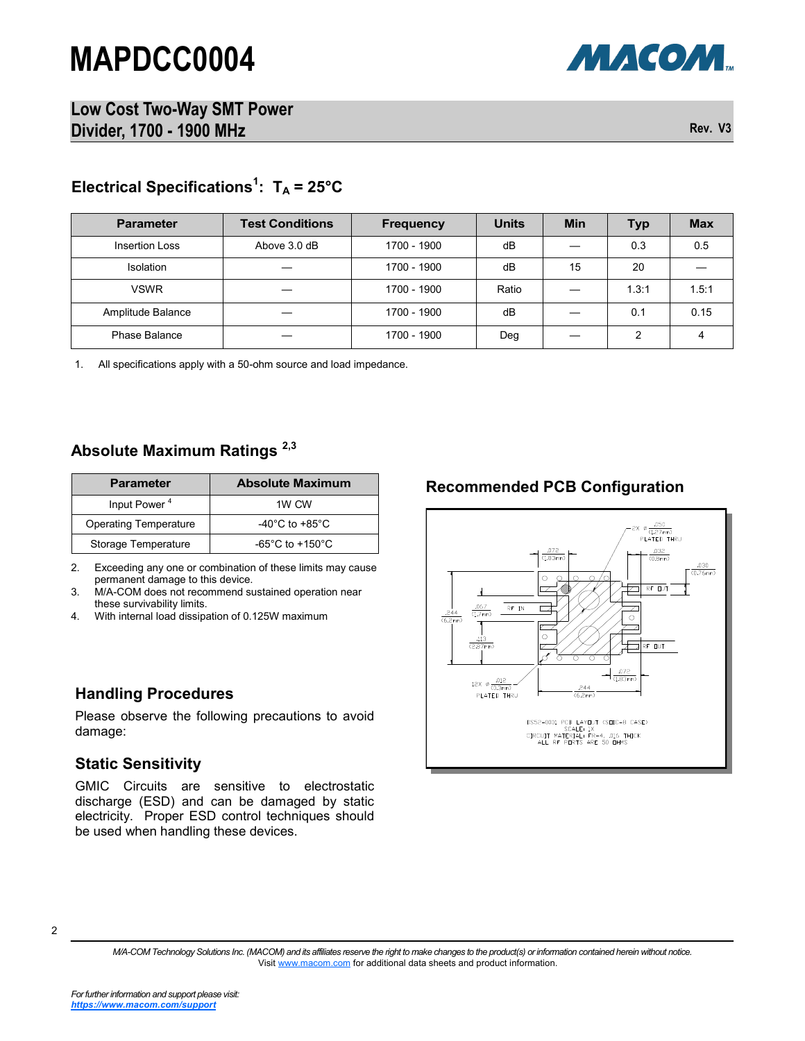

**Low Cost Two-Way SMT Power Divider, 1700 - 1900 MHz Rev. V3** 

### **Electrical Specifications<sup>1</sup> : T<sup>A</sup> = 25°C**

| <b>Parameter</b>  | <b>Test Conditions</b> | <b>Frequency</b> | <b>Units</b> | <b>Min</b> | <b>Typ</b> | <b>Max</b> |
|-------------------|------------------------|------------------|--------------|------------|------------|------------|
| Insertion Loss    | Above 3.0 dB           | 1700 - 1900      | dB           |            | 0.3        | 0.5        |
| Isolation         |                        | 1700 - 1900      | dB           | 15         | 20         |            |
| <b>VSWR</b>       |                        | 1700 - 1900      | Ratio        |            | 1.3:1      | 1.5:1      |
| Amplitude Balance |                        | 1700 - 1900      | dB           |            | 0.1        | 0.15       |
| Phase Balance     |                        | 1700 - 1900      | Deg          |            | 2          |            |

1. All specifications apply with a 50-ohm source and load impedance.

#### **Absolute Maximum Ratings 2,3**

| <b>Parameter</b>             | <b>Absolute Maximum</b>               |  |  |
|------------------------------|---------------------------------------|--|--|
| Input Power <sup>4</sup>     | 1W CW                                 |  |  |
| <b>Operating Temperature</b> | -40 $^{\circ}$ C to +85 $^{\circ}$ C  |  |  |
| Storage Temperature          | -65 $^{\circ}$ C to +150 $^{\circ}$ C |  |  |

2. Exceeding any one or combination of these limits may cause permanent damage to this device.

3. M/A-COM does not recommend sustained operation near these survivability limits.

4. With internal load dissipation of 0.125W maximum

#### **Handling Procedures**

Please observe the following precautions to avoid damage:

#### **Static Sensitivity**

GMIC Circuits are sensitive to electrostatic discharge (ESD) and can be damaged by static electricity. Proper ESD control techniques should be used when handling these devices.

#### **Recommended PCB Configuration**



<sup>2</sup>

*M/A-COM Technology Solutions Inc. (MACOM) and its affiliates reserve the right to make changes to the product(s) or information contained herein without notice.*  Visit [www.macom.com](http://www.macom.com/) for additional data sheets and product information.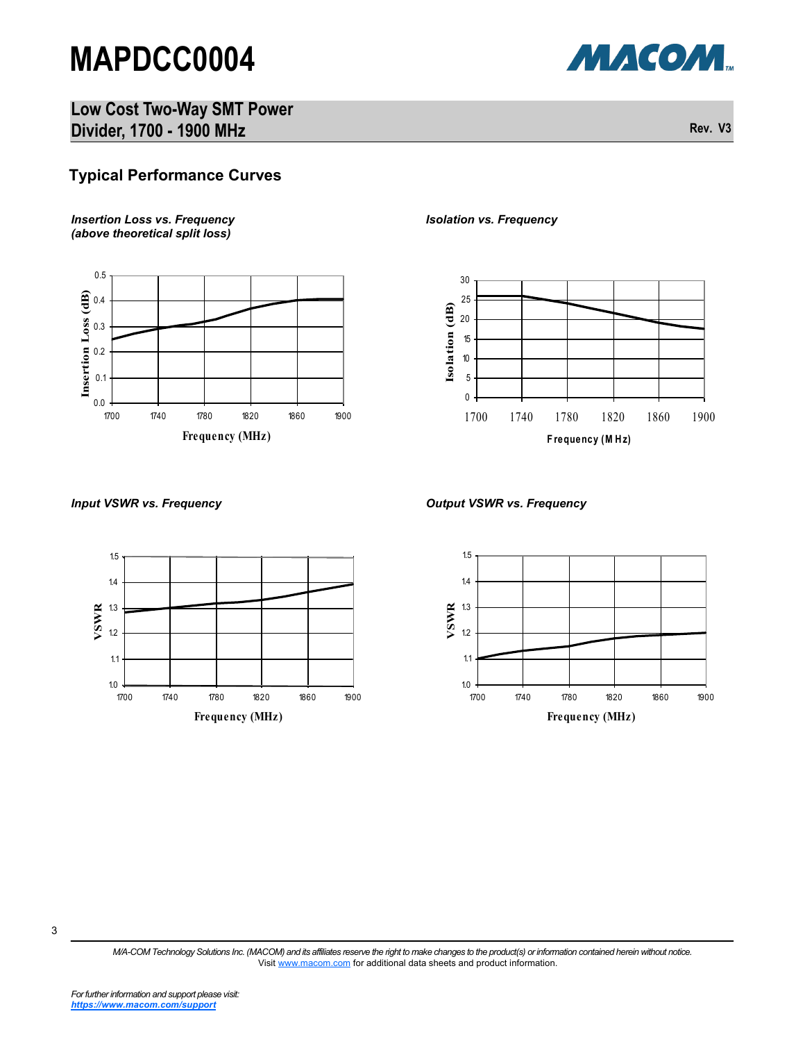МАСОМ.

**Low Cost Two-Way SMT Power Divider, 1700 - 1900 MHz Rev. V3** 

### **Typical Performance Curves**

*Insertion Loss vs. Frequency (above theoretical split loss)*



*Isolation vs. Frequency*



#### *Input VSWR vs. Frequency Output VSWR vs. Frequency*





3

*M/A-COM Technology Solutions Inc. (MACOM) and its affiliates reserve the right to make changes to the product(s) or information contained herein without notice.*  Visit [www.macom.com](http://www.macom.com/) for additional data sheets and product information.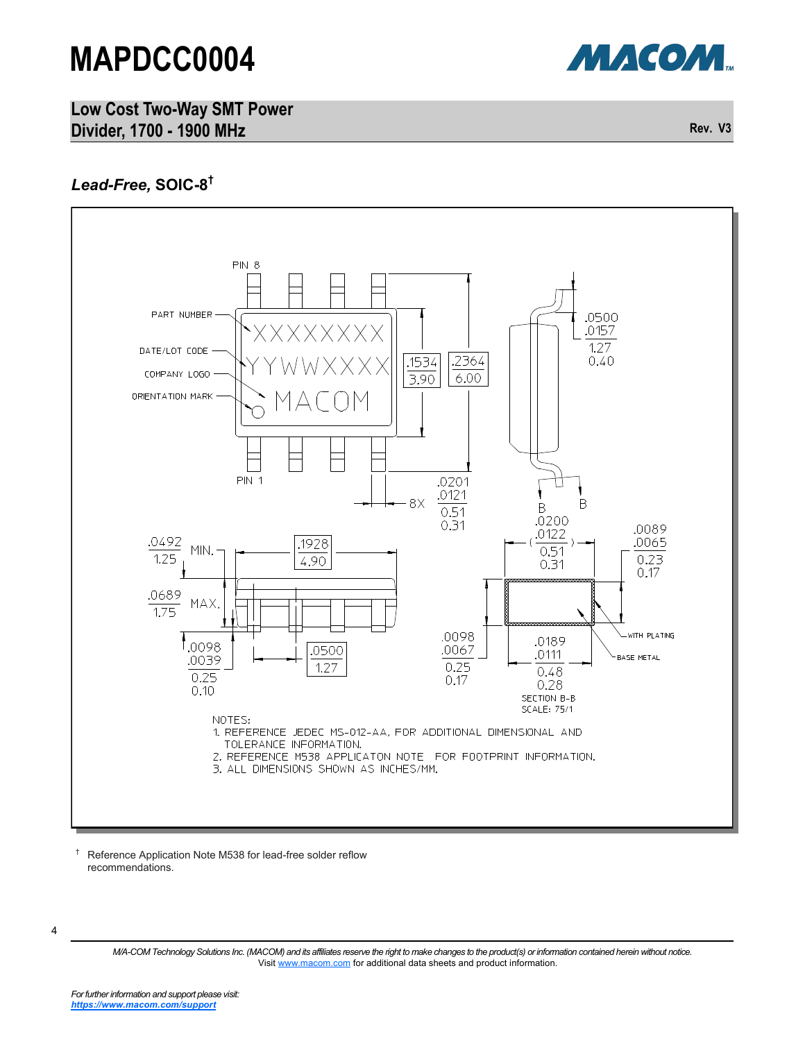



### *Lead-Free,* **SOIC-8 †**



† Reference Application Note M538 for lead-free solder reflow recommendations.

<sup>4</sup>

*M/A-COM Technology Solutions Inc. (MACOM) and its affiliates reserve the right to make changes to the product(s) or information contained herein without notice.*  Visit [www.macom.com](http://www.macom.com/) for additional data sheets and product information.